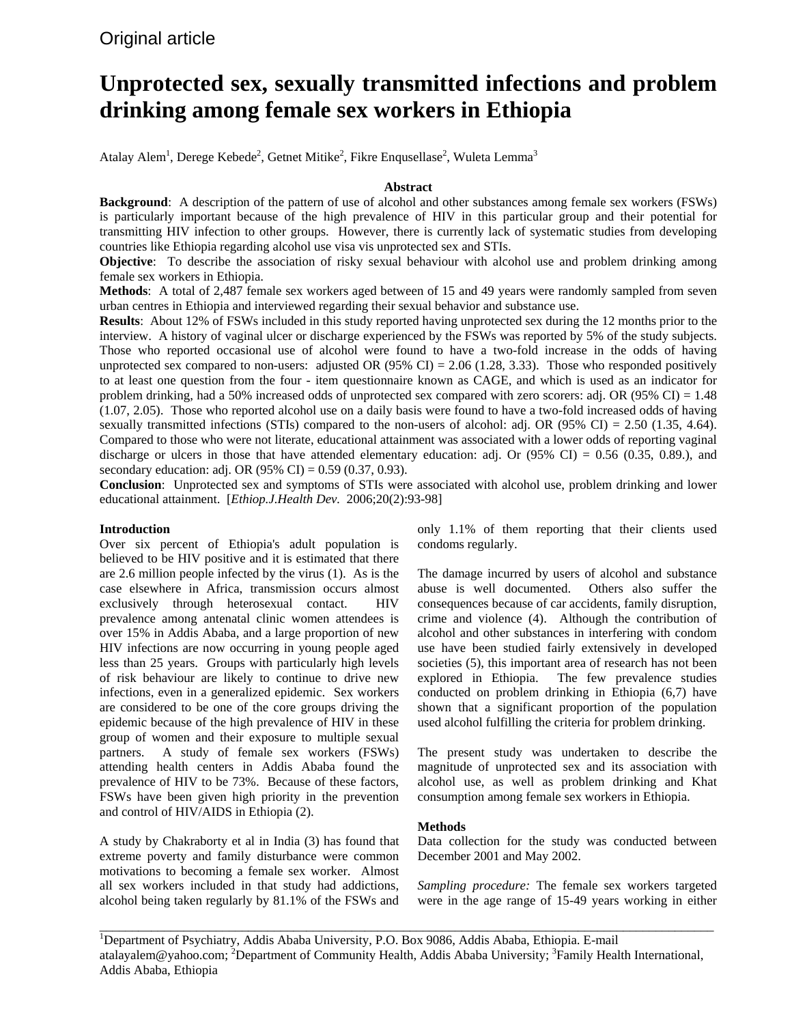# **Unprotected sex, sexually transmitted infections and problem drinking among female sex workers in Ethiopia**

Atalay Alem<sup>1</sup>, Derege Kebede<sup>2</sup>, Getnet Mitike<sup>2</sup>, Fikre Enqusellase<sup>2</sup>, Wuleta Lemma<sup>3</sup>

## **Abstract**

**Background**: A description of the pattern of use of alcohol and other substances among female sex workers (FSWs) is particularly important because of the high prevalence of HIV in this particular group and their potential for transmitting HIV infection to other groups. However, there is currently lack of systematic studies from developing countries like Ethiopia regarding alcohol use visa vis unprotected sex and STIs.

**Objective**: To describe the association of risky sexual behaviour with alcohol use and problem drinking among female sex workers in Ethiopia.

**Methods**: A total of 2,487 female sex workers aged between of 15 and 49 years were randomly sampled from seven urban centres in Ethiopia and interviewed regarding their sexual behavior and substance use.

**Results**: About 12% of FSWs included in this study reported having unprotected sex during the 12 months prior to the interview. A history of vaginal ulcer or discharge experienced by the FSWs was reported by 5% of the study subjects. Those who reported occasional use of alcohol were found to have a two-fold increase in the odds of having unprotected sex compared to non-users: adjusted OR (95% CI) = 2.06 (1.28, 3.33). Those who responded positively to at least one question from the four - item questionnaire known as CAGE, and which is used as an indicator for problem drinking, had a 50% increased odds of unprotected sex compared with zero scorers: adj. OR (95% CI) = 1.48 (1.07, 2.05). Those who reported alcohol use on a daily basis were found to have a two-fold increased odds of having sexually transmitted infections (STIs) compared to the non-users of alcohol: adj. OR (95% CI) = 2.50 (1.35, 4.64). Compared to those who were not literate, educational attainment was associated with a lower odds of reporting vaginal discharge or ulcers in those that have attended elementary education: adj. Or  $(95\% \text{ CI}) = 0.56 \ (0.35, 0.89)$ , and secondary education: adj. OR (95% CI) = 0.59 (0.37, 0.93).

**Conclusion**: Unprotected sex and symptoms of STIs were associated with alcohol use, problem drinking and lower educational attainment. [*Ethiop.J.Health Dev.* 2006;20(2):93-98]

## **Introduction**

Over six percent of Ethiopia's adult population is believed to be HIV positive and it is estimated that there are 2.6 million people infected by the virus (1). As is the case elsewhere in Africa, transmission occurs almost exclusively through heterosexual contact. HIV prevalence among antenatal clinic women attendees is over 15% in Addis Ababa, and a large proportion of new HIV infections are now occurring in young people aged less than 25 years. Groups with particularly high levels of risk behaviour are likely to continue to drive new infections, even in a generalized epidemic. Sex workers are considered to be one of the core groups driving the epidemic because of the high prevalence of HIV in these group of women and their exposure to multiple sexual partners. A study of female sex workers (FSWs) attending health centers in Addis Ababa found the prevalence of HIV to be 73%. Because of these factors, FSWs have been given high priority in the prevention and control of HIV/AIDS in Ethiopia (2).

A study by Chakraborty et al in India (3) has found that extreme poverty and family disturbance were common motivations to becoming a female sex worker. Almost all sex workers included in that study had addictions, alcohol being taken regularly by 81.1% of the FSWs and

only 1.1% of them reporting that their clients used condoms regularly.

The damage incurred by users of alcohol and substance abuse is well documented. Others also suffer the consequences because of car accidents, family disruption, crime and violence (4). Although the contribution of alcohol and other substances in interfering with condom use have been studied fairly extensively in developed societies (5), this important area of research has not been explored in Ethiopia. The few prevalence studies conducted on problem drinking in Ethiopia (6,7) have shown that a significant proportion of the population used alcohol fulfilling the criteria for problem drinking.

The present study was undertaken to describe the magnitude of unprotected sex and its association with alcohol use, as well as problem drinking and Khat consumption among female sex workers in Ethiopia.

## **Methods**

Data collection for the study was conducted between December 2001 and May 2002.

*Sampling procedure:* The female sex workers targeted were in the age range of 15-49 years working in either

<sup>1</sup>Department of Psychiatry, Addis Ababa University, P.O. Box 9086, Addis Ababa, Ethiopia. E-mail atalayalem@yahoo.com; <sup>2</sup>Department of Community Health, Addis Ababa University; <sup>3</sup>Family Health International, Addis Ababa, Ethiopia

\_\_\_\_\_\_\_\_\_\_\_\_\_\_\_\_\_\_\_\_\_\_\_\_\_\_\_\_\_\_\_\_\_\_\_\_\_\_\_\_\_\_\_\_\_\_\_\_\_\_\_\_\_\_\_\_\_\_\_\_\_\_\_\_\_\_\_\_\_\_\_\_\_\_\_\_\_\_\_\_\_\_\_\_\_\_\_\_\_\_\_\_\_\_\_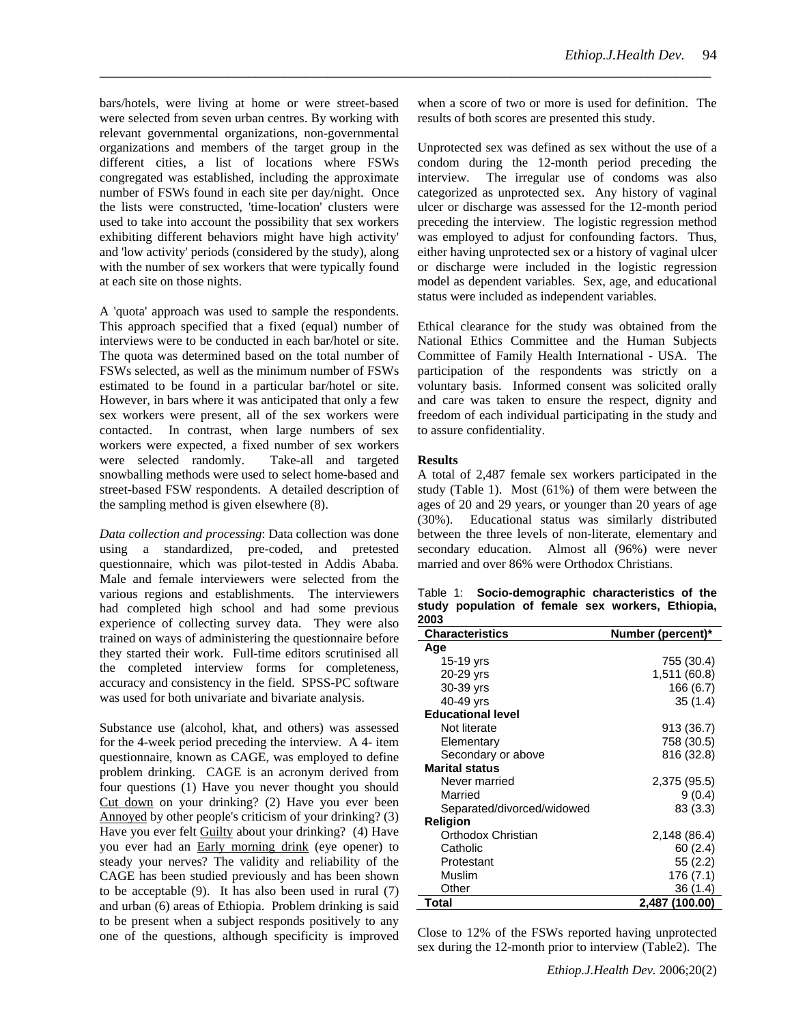bars/hotels, were living at home or were street-based were selected from seven urban centres. By working with relevant governmental organizations, non-governmental organizations and members of the target group in the different cities, a list of locations where FSWs congregated was established, including the approximate number of FSWs found in each site per day/night. Once the lists were constructed, 'time-location' clusters were used to take into account the possibility that sex workers exhibiting different behaviors might have high activity' and 'low activity' periods (considered by the study), along with the number of sex workers that were typically found at each site on those nights.

A 'quota' approach was used to sample the respondents. This approach specified that a fixed (equal) number of interviews were to be conducted in each bar/hotel or site. The quota was determined based on the total number of FSWs selected, as well as the minimum number of FSWs estimated to be found in a particular bar/hotel or site. However, in bars where it was anticipated that only a few sex workers were present, all of the sex workers were contacted. In contrast, when large numbers of sex workers were expected, a fixed number of sex workers were selected randomly. Take-all and targeted snowballing methods were used to select home-based and street-based FSW respondents. A detailed description of the sampling method is given elsewhere (8).

*Data collection and processing*: Data collection was done using a standardized, pre-coded, and pretested questionnaire, which was pilot-tested in Addis Ababa. Male and female interviewers were selected from the various regions and establishments. The interviewers had completed high school and had some previous experience of collecting survey data. They were also trained on ways of administering the questionnaire before they started their work. Full-time editors scrutinised all the completed interview forms for completeness, accuracy and consistency in the field. SPSS-PC software was used for both univariate and bivariate analysis.

Substance use (alcohol, khat, and others) was assessed for the 4-week period preceding the interview. A 4- item questionnaire, known as CAGE, was employed to define problem drinking. CAGE is an acronym derived from four questions (1) Have you never thought you should Cut down on your drinking? (2) Have you ever been Annoyed by other people's criticism of your drinking? (3) Have you ever felt Guilty about your drinking? (4) Have you ever had an Early morning drink (eye opener) to steady your nerves? The validity and reliability of the CAGE has been studied previously and has been shown to be acceptable (9). It has also been used in rural (7) and urban (6) areas of Ethiopia. Problem drinking is said to be present when a subject responds positively to any one of the questions, although specificity is improved

when a score of two or more is used for definition. The results of both scores are presented this study.

Unprotected sex was defined as sex without the use of a condom during the 12-month period preceding the interview. The irregular use of condoms was also categorized as unprotected sex. Any history of vaginal ulcer or discharge was assessed for the 12-month period preceding the interview. The logistic regression method was employed to adjust for confounding factors. Thus, either having unprotected sex or a history of vaginal ulcer or discharge were included in the logistic regression model as dependent variables. Sex, age, and educational status were included as independent variables.

Ethical clearance for the study was obtained from the National Ethics Committee and the Human Subjects Committee of Family Health International - USA. The participation of the respondents was strictly on a voluntary basis. Informed consent was solicited orally and care was taken to ensure the respect, dignity and freedom of each individual participating in the study and to assure confidentiality.

#### **Results**

\_\_\_\_\_\_\_\_\_\_\_\_\_\_\_\_\_\_\_\_\_\_\_\_\_\_\_\_\_\_\_\_\_\_\_\_\_\_\_\_\_\_\_\_\_\_\_\_\_\_\_\_\_\_\_\_\_\_\_\_\_\_\_\_\_\_\_\_\_\_\_\_\_\_\_\_\_\_\_\_\_\_\_\_\_\_

A total of 2,487 female sex workers participated in the study (Table 1). Most (61%) of them were between the ages of 20 and 29 years, or younger than 20 years of age (30%). Educational status was similarly distributed between the three levels of non-literate, elementary and secondary education. Almost all (96%) were never married and over 86% were Orthodox Christians.

|      | Table 1: Socio-demographic characteristics of the |  |  |  |
|------|---------------------------------------------------|--|--|--|
|      | study population of female sex workers, Ethiopia, |  |  |  |
| 2003 |                                                   |  |  |  |

| <b>Characteristics</b>     | Number (percent)* |
|----------------------------|-------------------|
| Age                        |                   |
| 15-19 yrs                  | 755 (30.4)        |
| 20-29 yrs                  | 1,511 (60.8)      |
| 30-39 yrs                  | 166 (6.7)         |
| 40-49 yrs                  | 35(1.4)           |
| <b>Educational level</b>   |                   |
| Not literate               | 913 (36.7)        |
| Elementary                 | 758 (30.5)        |
| Secondary or above         | 816 (32.8)        |
| <b>Marital status</b>      |                   |
| Never married              | 2,375 (95.5)      |
| Married                    | 9(0.4)            |
| Separated/divorced/widowed | 83 (3.3)          |
| <b>Religion</b>            |                   |
| Orthodox Christian         | 2,148 (86.4)      |
| Catholic                   | 60(2.4)           |
| Protestant                 | 55 (2.2)          |
| Muslim                     | 176 (7.1)         |
| Other                      | 36 (1.4)          |
| Total                      | 2,487 (100.00)    |

Close to 12% of the FSWs reported having unprotected sex during the 12-month prior to interview (Table2). The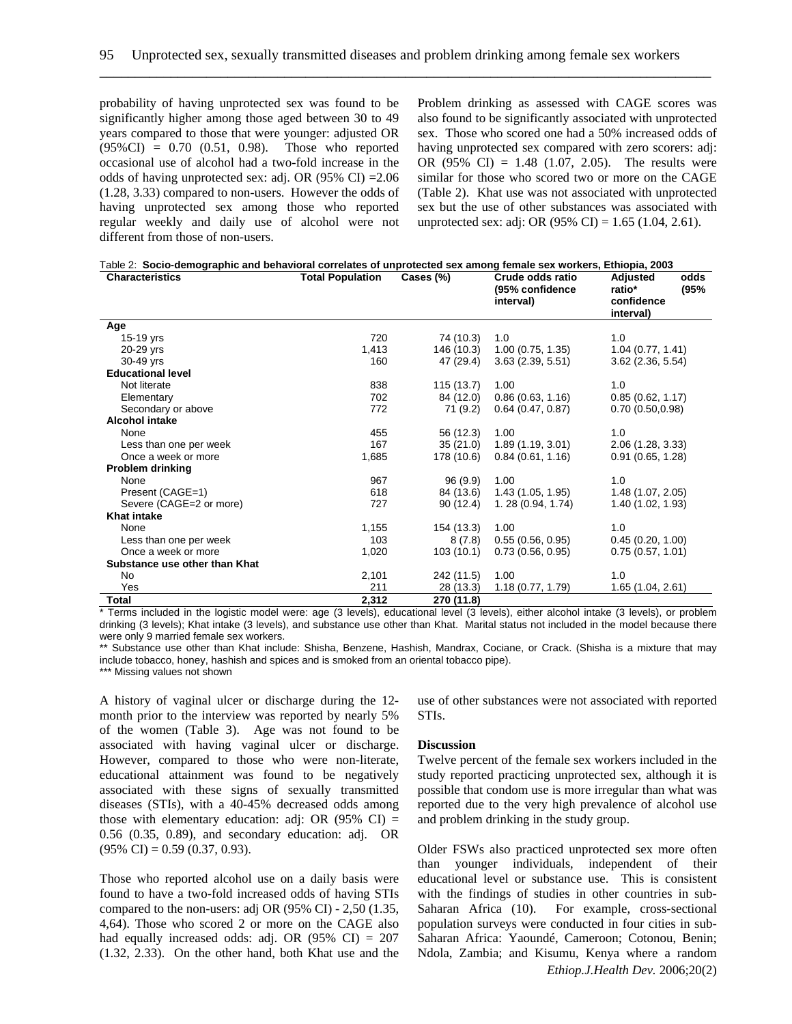\_\_\_\_\_\_\_\_\_\_\_\_\_\_\_\_\_\_\_\_\_\_\_\_\_\_\_\_\_\_\_\_\_\_\_\_\_\_\_\_\_\_\_\_\_\_\_\_\_\_\_\_\_\_\_\_\_\_\_\_\_\_\_\_\_\_\_\_\_\_\_\_\_\_\_\_\_\_\_\_\_\_\_\_\_\_

probability of having unprotected sex was found to be significantly higher among those aged between 30 to 49 years compared to those that were younger: adjusted OR  $(95\% CI) = 0.70$   $(0.51, 0.98)$ . Those who reported occasional use of alcohol had a two-fold increase in the odds of having unprotected sex: adj. OR (95% CI) =2.06 (1.28, 3.33) compared to non-users. However the odds of having unprotected sex among those who reported regular weekly and daily use of alcohol were not different from those of non-users.

Problem drinking as assessed with CAGE scores was also found to be significantly associated with unprotected sex. Those who scored one had a 50% increased odds of having unprotected sex compared with zero scorers: adj: OR (95% CI) = 1.48 (1.07, 2.05). The results were similar for those who scored two or more on the CAGE (Table 2). Khat use was not associated with unprotected sex but the use of other substances was associated with unprotected sex: adj: OR  $(95\% \text{ CI}) = 1.65 \ (1.04, 2.61)$ .

| Table 2: Socio-demographic and behavioral correlates of unprotected sex among female sex workers, Ethiopia, 2003 |  |  |
|------------------------------------------------------------------------------------------------------------------|--|--|
|------------------------------------------------------------------------------------------------------------------|--|--|

| <b>Characteristics</b>        | <b>Total Population</b> | Cases (%)  | Crude odds ratio<br>(95% confidence<br>interval) | odds<br>Adjusted<br>(95%<br>ratio*<br>confidence<br>interval) |
|-------------------------------|-------------------------|------------|--------------------------------------------------|---------------------------------------------------------------|
| Age                           |                         |            |                                                  |                                                               |
| 15-19 yrs                     | 720                     | 74 (10.3)  | 1.0                                              | 1.0                                                           |
| 20-29 yrs                     | 1,413                   | 146 (10.3) | 1.00(0.75, 1.35)                                 | 1.04(0.77, 1.41)                                              |
| 30-49 yrs                     | 160                     | 47 (29.4)  | 3.63(2.39, 5.51)                                 | $3.62$ (2.36, 5.54)                                           |
| <b>Educational level</b>      |                         |            |                                                  |                                                               |
| Not literate                  | 838                     | 115 (13.7) | 1.00                                             | 1.0                                                           |
| Elementary                    | 702                     | 84 (12.0)  | 0.86(0.63, 1.16)                                 | 0.85(0.62, 1.17)                                              |
| Secondary or above            | 772                     | 71 (9.2)   | $0.64$ (0.47, 0.87)                              | 0.70(0.50, 0.98)                                              |
| <b>Alcohol intake</b>         |                         |            |                                                  |                                                               |
| None                          | 455                     | 56 (12.3)  | 1.00                                             | 1.0                                                           |
| Less than one per week        | 167                     | 35(21.0)   | 1.89(1.19, 3.01)                                 | 2.06 (1.28, 3.33)                                             |
| Once a week or more           | 1,685                   | 178 (10.6) | 0.84(0.61, 1.16)                                 | 0.91(0.65, 1.28)                                              |
| <b>Problem drinking</b>       |                         |            |                                                  |                                                               |
| None                          | 967                     | 96(9.9)    | 1.00                                             | 1.0                                                           |
| Present (CAGE=1)              | 618                     | 84 (13.6)  | 1.43(1.05, 1.95)                                 | 1.48 (1.07, 2.05)                                             |
| Severe (CAGE=2 or more)       | 727                     | 90(12.4)   | 1.28(0.94, 1.74)                                 | 1.40 (1.02, 1.93)                                             |
| <b>Khat intake</b>            |                         |            |                                                  |                                                               |
| None                          | 1,155                   | 154 (13.3) | 1.00                                             | 1.0                                                           |
| Less than one per week        | 103                     | 8(7.8)     | 0.55(0.56, 0.95)                                 | 0.45(0.20, 1.00)                                              |
| Once a week or more           | 1,020                   | 103(10.1)  | 0.73(0.56, 0.95)                                 | 0.75(0.57, 1.01)                                              |
| Substance use other than Khat |                         |            |                                                  |                                                               |
| <b>No</b>                     | 2,101                   | 242 (11.5) | 1.00                                             | 1.0                                                           |
| Yes                           | 211                     | 28 (13.3)  | 1.18(0.77, 1.79)                                 | 1.65 (1.04, 2.61)                                             |
| Total                         | 2,312                   | 270 (11.8) |                                                  |                                                               |

\* Terms included in the logistic model were: age (3 levels), educational level (3 levels), either alcohol intake (3 levels), or problem drinking (3 levels); Khat intake (3 levels), and substance use other than Khat. Marital status not included in the model because there were only 9 married female sex workers.

\*\* Substance use other than Khat include: Shisha, Benzene, Hashish, Mandrax, Cociane, or Crack. (Shisha is a mixture that may include tobacco, honey, hashish and spices and is smoked from an oriental tobacco pipe).

\*\*\* Missing values not shown

A history of vaginal ulcer or discharge during the 12 month prior to the interview was reported by nearly 5% of the women (Table 3). Age was not found to be associated with having vaginal ulcer or discharge. However, compared to those who were non-literate, educational attainment was found to be negatively associated with these signs of sexually transmitted diseases (STIs), with a 40-45% decreased odds among those with elementary education: adj: OR  $(95\% \text{ CI})$  = 0.56 (0.35, 0.89), and secondary education: adj. OR  $(95\% \text{ CI}) = 0.59 \ (0.37, 0.93).$ 

Those who reported alcohol use on a daily basis were found to have a two-fold increased odds of having STIs compared to the non-users: adj OR (95% CI) - 2,50 (1.35, 4,64). Those who scored 2 or more on the CAGE also had equally increased odds: adj. OR  $(95\% \text{ CI}) = 207$ (1.32, 2.33). On the other hand, both Khat use and the use of other substances were not associated with reported STIs.

## **Discussion**

Twelve percent of the female sex workers included in the study reported practicing unprotected sex, although it is possible that condom use is more irregular than what was reported due to the very high prevalence of alcohol use and problem drinking in the study group.

*Ethiop.J.Health Dev.* 2006;20(2) Older FSWs also practiced unprotected sex more often than younger individuals, independent of their educational level or substance use. This is consistent with the findings of studies in other countries in sub-Saharan Africa (10). For example, cross-sectional population surveys were conducted in four cities in sub-Saharan Africa: Yaoundé, Cameroon; Cotonou, Benin; Ndola, Zambia; and Kisumu, Kenya where a random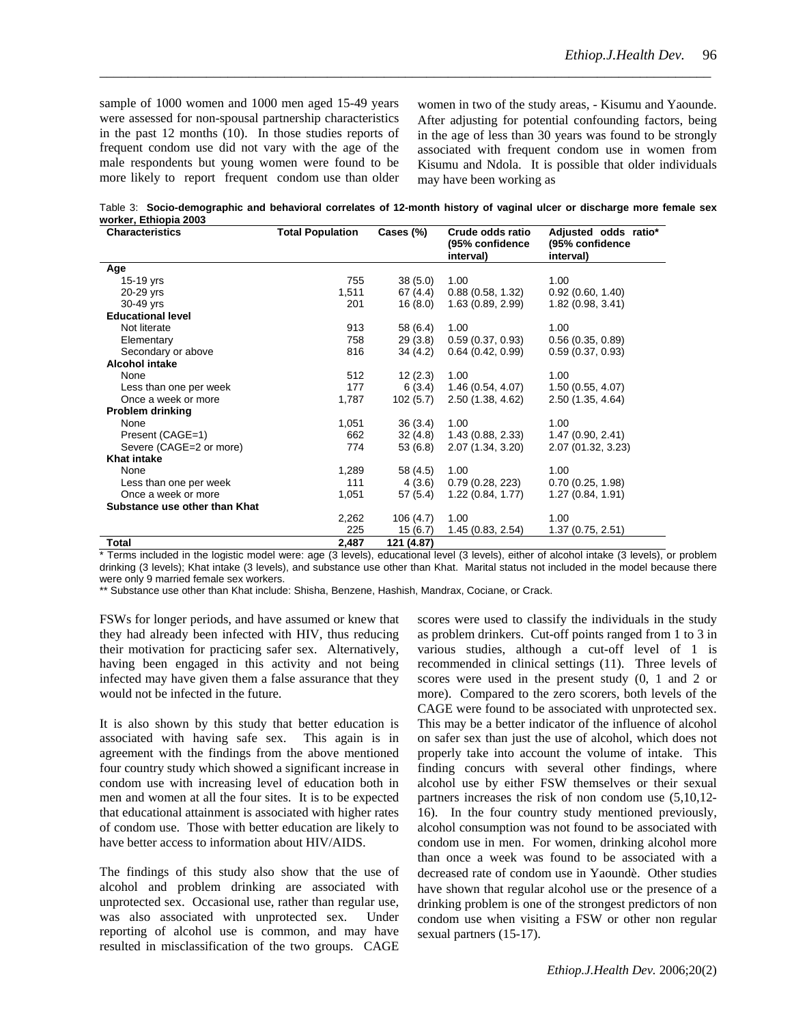sample of 1000 women and 1000 men aged 15-49 years were assessed for non-spousal partnership characteristics in the past 12 months (10). In those studies reports of frequent condom use did not vary with the age of the male respondents but young women were found to be more likely to report frequent condom use than older

women in two of the study areas, - Kisumu and Yaounde. After adjusting for potential confounding factors, being in the age of less than 30 years was found to be strongly associated with frequent condom use in women from Kisumu and Ndola. It is possible that older individuals may have been working as

Table 3: **Socio-demographic and behavioral correlates of 12-month history of vaginal ulcer or discharge more female sex worker, Ethiopia 2003** 

\_\_\_\_\_\_\_\_\_\_\_\_\_\_\_\_\_\_\_\_\_\_\_\_\_\_\_\_\_\_\_\_\_\_\_\_\_\_\_\_\_\_\_\_\_\_\_\_\_\_\_\_\_\_\_\_\_\_\_\_\_\_\_\_\_\_\_\_\_\_\_\_\_\_\_\_\_\_\_\_\_\_\_\_\_\_

| <b>Characteristics</b>        | <b>Total Population</b> | Cases (%)  | Crude odds ratio<br>(95% confidence<br>interval) | Adjusted odds ratio*<br>(95% confidence<br>interval) |
|-------------------------------|-------------------------|------------|--------------------------------------------------|------------------------------------------------------|
| Age                           |                         |            |                                                  |                                                      |
| 15-19 yrs                     | 755                     | 38(5.0)    | 1.00                                             | 1.00                                                 |
| 20-29 yrs                     | 1,511                   | 67 (4.4)   | 0.88(0.58, 1.32)                                 | 0.92(0.60, 1.40)                                     |
| 30-49 yrs                     | 201                     | 16(8.0)    | 1.63 (0.89, 2.99)                                | 1.82 (0.98, 3.41)                                    |
| <b>Educational level</b>      |                         |            |                                                  |                                                      |
| Not literate                  | 913                     | 58 (6.4)   | 1.00                                             | 1.00                                                 |
| Elementary                    | 758                     | 29(3.8)    | 0.59(0.37, 0.93)                                 | 0.56(0.35, 0.89)                                     |
| Secondary or above            | 816                     | 34(4.2)    | 0.64(0.42, 0.99)                                 | 0.59(0.37, 0.93)                                     |
| <b>Alcohol intake</b>         |                         |            |                                                  |                                                      |
| None                          | 512                     | 12(2.3)    | 1.00                                             | 1.00                                                 |
| Less than one per week        | 177                     | 6(3.4)     | 1.46(0.54, 4.07)                                 | 1.50 (0.55, 4.07)                                    |
| Once a week or more           | 1,787                   | 102(5.7)   | 2.50 (1.38, 4.62)                                | 2.50 (1.35, 4.64)                                    |
| <b>Problem drinking</b>       |                         |            |                                                  |                                                      |
| None                          | 1,051                   | 36(3.4)    | 1.00                                             | 1.00                                                 |
| Present (CAGE=1)              | 662                     | 32(4.8)    | 1.43(0.88, 2.33)                                 | 1.47(0.90, 2.41)                                     |
| Severe (CAGE=2 or more)       | 774                     | 53 (6.8)   | 2.07 (1.34, 3.20)                                | 2.07 (01.32, 3.23)                                   |
| <b>Khat intake</b>            |                         |            |                                                  |                                                      |
| None                          | 1,289                   | 58 (4.5)   | 1.00                                             | 1.00                                                 |
| Less than one per week        | 111                     | 4 (3.6)    | 0.79(0.28, 223)                                  | 0.70(0.25, 1.98)                                     |
| Once a week or more           | 1,051                   | 57 (5.4)   | 1.22(0.84, 1.77)                                 | 1.27(0.84, 1.91)                                     |
| Substance use other than Khat |                         |            |                                                  |                                                      |
|                               | 2,262                   | 106(4.7)   | 1.00                                             | 1.00                                                 |
|                               | 225                     | 15(6.7)    | 1.45(0.83, 2.54)                                 | 1.37(0.75, 2.51)                                     |
| Total                         | 2,487                   | 121 (4.87) |                                                  |                                                      |

\* Terms included in the logistic model were: age (3 levels), educational level (3 levels), either of alcohol intake (3 levels), or problem drinking (3 levels); Khat intake (3 levels), and substance use other than Khat. Marital status not included in the model because there were only 9 married female sex workers.

\*\* Substance use other than Khat include: Shisha, Benzene, Hashish, Mandrax, Cociane, or Crack.

FSWs for longer periods, and have assumed or knew that they had already been infected with HIV, thus reducing their motivation for practicing safer sex. Alternatively, having been engaged in this activity and not being infected may have given them a false assurance that they would not be infected in the future.

It is also shown by this study that better education is associated with having safe sex. This again is in agreement with the findings from the above mentioned four country study which showed a significant increase in condom use with increasing level of education both in men and women at all the four sites. It is to be expected that educational attainment is associated with higher rates of condom use. Those with better education are likely to have better access to information about HIV/AIDS.

The findings of this study also show that the use of alcohol and problem drinking are associated with unprotected sex. Occasional use, rather than regular use, was also associated with unprotected sex. Under reporting of alcohol use is common, and may have resulted in misclassification of the two groups. CAGE scores were used to classify the individuals in the study as problem drinkers. Cut-off points ranged from 1 to 3 in various studies, although a cut-off level of 1 is recommended in clinical settings (11). Three levels of scores were used in the present study (0, 1 and 2 or more). Compared to the zero scorers, both levels of the CAGE were found to be associated with unprotected sex. This may be a better indicator of the influence of alcohol on safer sex than just the use of alcohol, which does not properly take into account the volume of intake. This finding concurs with several other findings, where alcohol use by either FSW themselves or their sexual partners increases the risk of non condom use (5,10,12- 16). In the four country study mentioned previously, alcohol consumption was not found to be associated with condom use in men. For women, drinking alcohol more than once a week was found to be associated with a decreased rate of condom use in Yaoundè. Other studies have shown that regular alcohol use or the presence of a drinking problem is one of the strongest predictors of non condom use when visiting a FSW or other non regular sexual partners (15-17).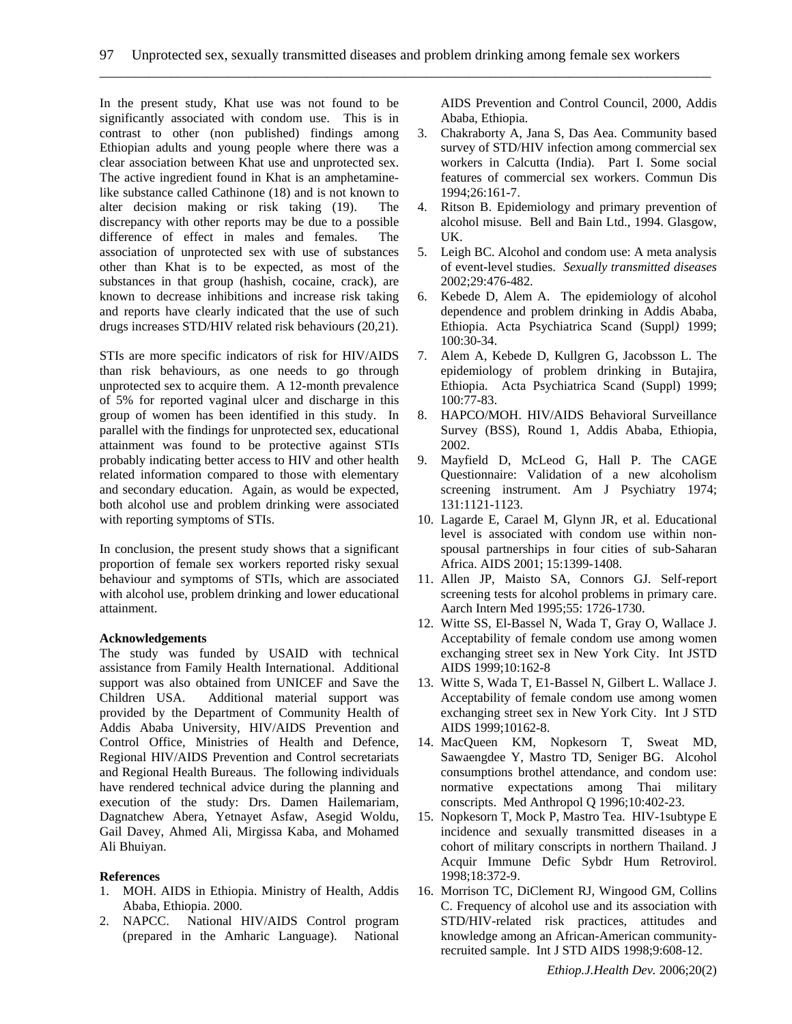\_\_\_\_\_\_\_\_\_\_\_\_\_\_\_\_\_\_\_\_\_\_\_\_\_\_\_\_\_\_\_\_\_\_\_\_\_\_\_\_\_\_\_\_\_\_\_\_\_\_\_\_\_\_\_\_\_\_\_\_\_\_\_\_\_\_\_\_\_\_\_\_\_\_\_\_\_\_\_\_\_\_\_\_\_\_

In the present study, Khat use was not found to be significantly associated with condom use. This is in contrast to other (non published) findings among Ethiopian adults and young people where there was a clear association between Khat use and unprotected sex. The active ingredient found in Khat is an amphetaminelike substance called Cathinone (18) and is not known to alter decision making or risk taking (19). The discrepancy with other reports may be due to a possible difference of effect in males and females. The association of unprotected sex with use of substances other than Khat is to be expected, as most of the substances in that group (hashish, cocaine, crack), are known to decrease inhibitions and increase risk taking and reports have clearly indicated that the use of such drugs increases STD/HIV related risk behaviours (20,21).

STIs are more specific indicators of risk for HIV/AIDS than risk behaviours, as one needs to go through unprotected sex to acquire them. A 12-month prevalence of 5% for reported vaginal ulcer and discharge in this group of women has been identified in this study. In parallel with the findings for unprotected sex, educational attainment was found to be protective against STIs probably indicating better access to HIV and other health related information compared to those with elementary and secondary education. Again, as would be expected, both alcohol use and problem drinking were associated with reporting symptoms of STIs.

In conclusion, the present study shows that a significant proportion of female sex workers reported risky sexual behaviour and symptoms of STIs, which are associated with alcohol use, problem drinking and lower educational attainment.

## **Acknowledgements**

The study was funded by USAID with technical assistance from Family Health International. Additional support was also obtained from UNICEF and Save the Children USA. Additional material support was provided by the Department of Community Health of Addis Ababa University, HIV/AIDS Prevention and Control Office, Ministries of Health and Defence, Regional HIV/AIDS Prevention and Control secretariats and Regional Health Bureaus. The following individuals have rendered technical advice during the planning and execution of the study: Drs. Damen Hailemariam, Dagnatchew Abera, Yetnayet Asfaw, Asegid Woldu, Gail Davey, Ahmed Ali, Mirgissa Kaba, and Mohamed Ali Bhuiyan.

## **References**

- 1. MOH. AIDS in Ethiopia. Ministry of Health, Addis Ababa, Ethiopia. 2000.
- 2. NAPCC. National HIV/AIDS Control program (prepared in the Amharic Language). National

AIDS Prevention and Control Council, 2000, Addis Ababa, Ethiopia.

- 3. Chakraborty A, Jana S, Das Aea. Community based survey of STD/HIV infection among commercial sex workers in Calcutta (India). Part I. Some social features of commercial sex workers. Commun Dis 1994;26:161-7.
- 4. Ritson B. Epidemiology and primary prevention of alcohol misuse. Bell and Bain Ltd., 1994. Glasgow, UK.
- 5. Leigh BC. Alcohol and condom use: A meta analysis of event-level studies. *Sexually transmitted diseases*  2002;29:476-482.
- 6. Kebede D, Alem A. The epidemiology of alcohol dependence and problem drinking in Addis Ababa, Ethiopia. Acta Psychiatrica Scand (Suppl*)* 1999; 100:30-34.
- 7. Alem A, Kebede D, Kullgren G, Jacobsson L. The epidemiology of problem drinking in Butajira, Ethiopia. Acta Psychiatrica Scand (Suppl) 1999; 100:77-83.
- 8. HAPCO/MOH. HIV/AIDS Behavioral Surveillance Survey (BSS), Round 1, Addis Ababa, Ethiopia, 2002.
- 9. Mayfield D, McLeod G, Hall P. The CAGE Questionnaire: Validation of a new alcoholism screening instrument. Am J Psychiatry 1974; 131:1121-1123.
- 10. Lagarde E, Carael M, Glynn JR, et al. Educational level is associated with condom use within nonspousal partnerships in four cities of sub-Saharan Africa. AIDS 2001; 15:1399-1408.
- 11. Allen JP, Maisto SA, Connors GJ. Self-report screening tests for alcohol problems in primary care. Aarch Intern Med 1995;55: 1726-1730.
- 12. Witte SS, El-Bassel N, Wada T, Gray O, Wallace J. Acceptability of female condom use among women exchanging street sex in New York City. Int JSTD AIDS 1999;10:162-8
- 13. Witte S, Wada T, E1-Bassel N, Gilbert L. Wallace J. Acceptability of female condom use among women exchanging street sex in New York City. Int J STD AIDS 1999;10162-8.
- 14. MacQueen KM, Nopkesorn T, Sweat MD, Sawaengdee Y, Mastro TD, Seniger BG. Alcohol consumptions brothel attendance, and condom use: normative expectations among Thai military conscripts. Med Anthropol Q 1996;10:402-23.
- 15. Nopkesorn T, Mock P, Mastro Tea. HIV-1subtype E incidence and sexually transmitted diseases in a cohort of military conscripts in northern Thailand. J Acquir Immune Defic Sybdr Hum Retrovirol. 1998;18:372-9.
- 16. Morrison TC, DiClement RJ, Wingood GM, Collins C. Frequency of alcohol use and its association with STD/HIV-related risk practices, attitudes and knowledge among an African-American communityrecruited sample. Int J STD AIDS 1998;9:608-12.